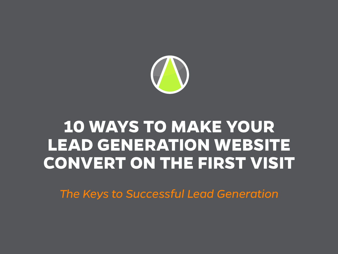

### **10 WAYS TO MAKE YOUR LEAD GENERATION WEBSITE CONVERT ON THE FIRST VISIT**

*The Keys to Successful Lead Generation*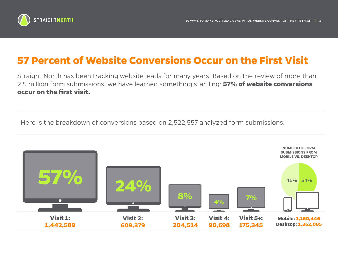

### **57 Percent of Website Conversions Occur on the First Visit**

Straight North has been tracking website leads for many years. Based on the review of more than 2.5 million form submissions, we have learned something startling: **57% of website conversions occur on the first visit.**

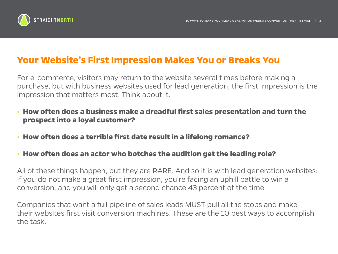

### **Your Website's First Impression Makes You or Breaks You**

For e-commerce, visitors may return to the website several times before making a purchase, but with business websites used for lead generation, the first impression is the impression that matters most. Think about it:

- **How often does a business make a dreadful first sales presentation and turn the prospect into a loyal customer?**
- **How often does a terrible first date result in a lifelong romance?**
- **How often does an actor who botches the audition get the leading role?**

All of these things happen, but they are RARE. And so it is with lead generation websites: If you do not make a great first impression, you're facing an uphill battle to win a conversion, and you will only get a second chance 43 percent of the time.

Companies that want a full pipeline of sales leads MUST pull all the stops and make their websites first visit conversion machines. These are the 10 best ways to accomplish the task.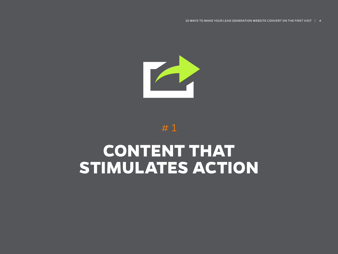## **CONTENT THAT STIMULATES ACTION**



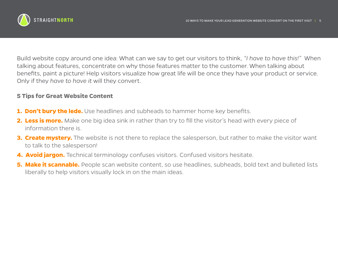

Build website copy around one idea: What can we say to get our visitors to think, *"I have to have this!"* When talking about features, concentrate on why those features matter to the customer. When talking about benefits, paint a picture! Help visitors visualize how great life will be once they have your product or service. Only if they *have to have it* will they convert.

#### **5 Tips for Great Website Content**

- **1. Don't bury the lede.** Use headlines and subheads to hammer home key benefits.
- **2. Less is more.** Make one big idea sink in rather than try to fill the visitor's head with every piece of information there is.
- **3. Create mystery.** The website is not there to replace the salesperson, but rather to make the visitor want to talk to the salesperson!
- **4. Avoid iargon.** Technical terminology confuses visitors. Confused visitors hesitate.
- **5. Make it scannable.** People scan website content, so use headlines, subheads, bold text and bulleted lists liberally to help visitors visually lock in on the main ideas.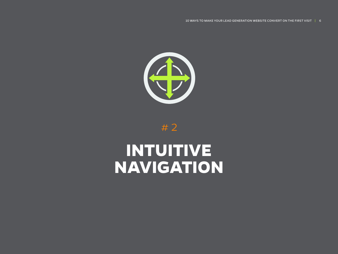# **INTUITIVE NAVIGATION**



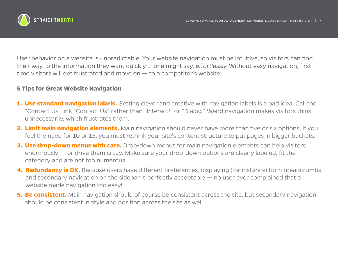

User behavior on a website is unpredictable. Your website navigation must be intuitive, so visitors can find their way to the information they want quickly … one might say, *effortlessly*. Without easy navigation, firsttime visitors will get frustrated and move on  $-$  to a competitor's website.

#### **5 Tips for Great Website Navigation**

- **1. Use standard navigation labels.** Getting clever and creative with navigation labels is a bad idea. Call the "Contact Us" link "Contact Us" rather than "Interact!" or "Dialog." Weird navigation makes visitors think unnecessarily, which frustrates them.
- **2. Limit main navigation elements.** Main navigation should never have more than five or six options. If you feel the need for 10 or 15, you must rethink your site's content structure to put pages in bigger buckets.
- **3. Use drop-down menus with care.** Drop-down menus for main navigation elements can help visitors enormously — or drive them crazy. Make sure your drop-down options are clearly labeled, fit the category and are not too numerous.
- **4. Redundancy is OK.** Because users have different preferences, displaying (for instance) both breadcrumbs and secondary navigation on the sidebar is perfectly acceptable — no user ever complained that a website made navigation too easy!
- **5. Be consistent.** Main navigation should of course be consistent across the site, but secondary navigation should be consistent in style and position across the site as well.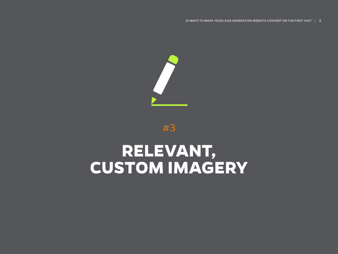## **RELEVANT, CUSTOM IMAGERY**



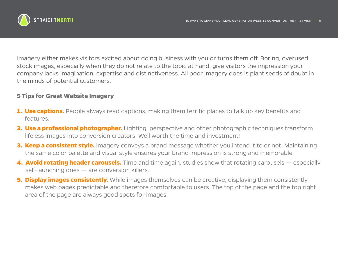

Imagery either makes visitors excited about doing business with you or turns them off. Boring, overused stock images, especially when they do not relate to the topic at hand, give visitors the impression your company lacks imagination, expertise and distinctiveness. All poor imagery does is plant seeds of doubt in the minds of potential customers.

#### **5 Tips for Great Website Imagery**

- **1. Use captions.** People always read captions, making them terrific places to talk up key benefits and features.
- **2. Use a professional photographer.** Lighting, perspective and other photographic techniques transform lifeless images into conversion creators. Well worth the time and investment!
- **3. Keep a consistent style.** Imagery conveys a brand message whether you intend it to or not. Maintaining the same color palette and visual style ensures your brand impression is strong and memorable.
- **4. Avoid rotating header carousels.** Time and time again, studies show that rotating carousels especially self-launching ones — are conversion killers.
- **5. Display images consistently.** While images themselves can be creative, displaying them consistently makes web pages predictable and therefore comfortable to users. The top of the page and the top right area of the page are always good spots for images.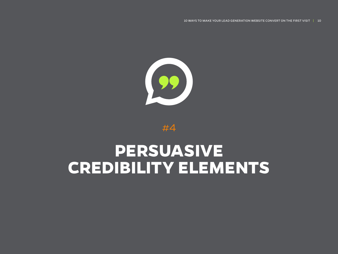# **PERSUASIVE CREDIBILITY ELEMENTS**



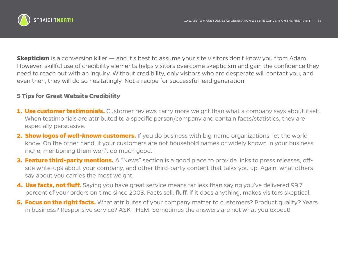

**Skepticism** is a conversion killer — and it's best to assume your site visitors don't know you from Adam. However, skillful use of credibility elements helps visitors overcome skepticism and gain the confidence they need to reach out with an inquiry. Without credibility, only visitors who are desperate will contact you, and even then, they will do so hesitatingly. Not a recipe for successful lead generation!

### **5 Tips for Great Website Credibility**

- **1. Use customer testimonials.** Customer reviews carry more weight than what a company says about itself. When testimonials are attributed to a specific person/company and contain facts/statistics, they are especially persuasive.
- **2. Show logos of well-known customers.** If you do business with big-name organizations, let the world know. On the other hand, if your customers are not household names or widely known in your business niche, mentioning them won't do much good.
- **3. Feature third-party mentions.** A "News" section is a good place to provide links to press releases, offsite write-ups about your company, and other third-party content that talks you up. Again, what others say about you carries the most weight.
- **4. Use facts, not fluff.** Saying you have great service means far less than saying you've delivered 99.7 percent of your orders on time since 2003. Facts sell; fluff, if it does anything, makes visitors skeptical.
- **5. Focus on the right facts.** What attributes of your company matter to customers? Product quality? Years in business? Responsive service? ASK THEM. Sometimes the answers are not what you expect!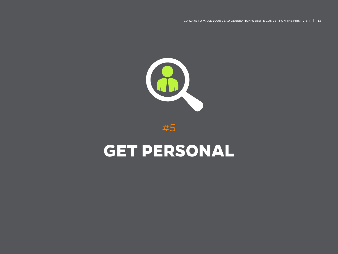## **GET PERSONAL**



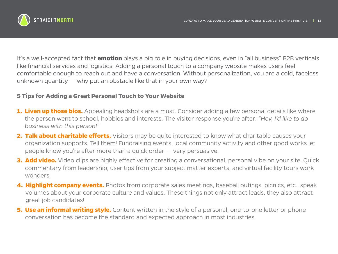

It's a well-accepted fact that **emotion** plays a big role in buying decisions, even in "all business" B2B verticals like financial services and logistics. Adding a personal touch to a company website makes users feel comfortable enough to reach out and have a conversation. Without personalization, you are a cold, faceless unknown quantity — why put an obstacle like that in your own way?

#### **5 Tips for Adding a Great Personal Touch to Your Website**

- **1. Liven up those bios.** Appealing headshots are a must. Consider adding a few personal details like where the person went to school, hobbies and interests. The visitor response you're after: *"Hey, I'd like to do business with this person!"*
- **2. Talk about charitable efforts.** Visitors may be quite interested to know what charitable causes your organization supports. Tell them! Fundraising events, local community activity and other good works let people know you're after more than a quick order — very persuasive.
- **3. Add video.** Video clips are highly effective for creating a conversational, personal vibe on your site. Quick commentary from leadership, user tips from your subject matter experts, and virtual facility tours work wonders.
- **4. Highlight company events.** Photos from corporate sales meetings, baseball outings, picnics, etc., speak volumes about your corporate culture and values. These things not only attract leads, they also attract great job candidates!
- **5. Use an informal writing style.** Content written in the style of a personal, one-to-one letter or phone conversation has become the standard and expected approach in most industries.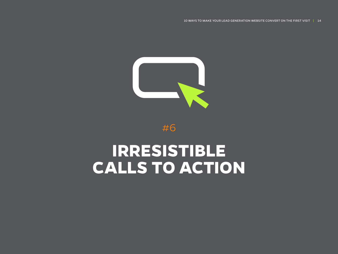### **IRRESISTIBLE CALLS TO ACTION**



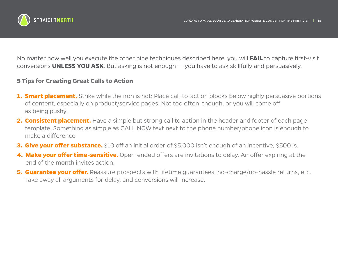

No matter how well you execute the other nine techniques described here, you will **FAIL** to capture first-visit conversions **UNLESS YOU ASK**. But asking is not enough — you have to ask skillfully and persuasively.

### **5 Tips for Creating Great Calls to Action**

- **1. Smart placement.** Strike while the iron is hot: Place call-to-action blocks below highly persuasive portions of content, especially on product/service pages. Not too often, though, or you will come off as being pushy.
- **2. Consistent placement.** Have a simple but strong call to action in the header and footer of each page template. Something as simple as CALL NOW text next to the phone number/phone icon is enough to make a difference.
- **3. Give your offer substance.** \$10 off an initial order of \$5,000 isn't enough of an incentive; \$500 is.
- **4. Make your offer time-sensitive.** Open-ended offers are invitations to delay. An offer expiring at the end of the month invites action.
- **5. Guarantee your offer.** Reassure prospects with lifetime guarantees, no-charge/no-hassle returns, etc. Take away all arguments for delay, and conversions will increase.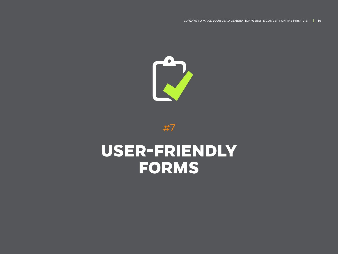## **USER-FRIENDLY FORMS**

#7

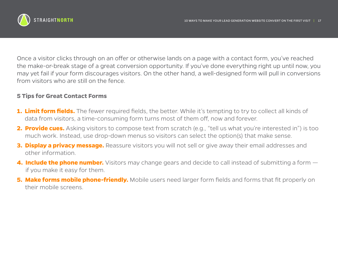

Once a visitor clicks through on an offer or otherwise lands on a page with a contact form, you've reached the make-or-break stage of a great conversion opportunity. If you've done everything right up until now, you may yet fail if your form discourages visitors. On the other hand, a well-designed form will pull in conversions from visitors who are still on the fence.

#### **5 Tips for Great Contact Forms**

- **1. Limit form fields.** The fewer required fields, the better. While it's tempting to try to collect all kinds of data from visitors, a time-consuming form turns most of them off, now and forever.
- **2. Provide cues.** Asking visitors to compose text from scratch (e.g., "tell us what you're interested in") is too much work. Instead, use drop-down menus so visitors can select the option(s) that make sense.
- **3. Display a privacy message.** Reassure visitors you will not sell or give away their email addresses and other information.
- **4. Include the phone number.** Visitors may change gears and decide to call instead of submitting a form  $$ if you make it easy for them.
- **5. Make forms mobile phone-friendly.** Mobile users need larger form fields and forms that fit properly on their mobile screens.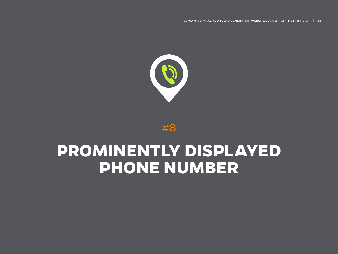### **PROMINENTLY DISPLAYED PHONE NUMBER**

#8

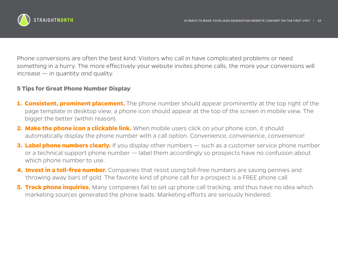

Phone conversions are often the best kind: Visitors who call in have complicated problems or need something in a hurry. The more effectively your website invites phone calls, the more your conversions will increase — in quantity *and* quality.

#### **5 Tips for Great Phone Number Display**

- **1. Consistent, prominent placement.** The phone number should appear prominently at the top right of the page template in desktop view; a phone icon should appear at the top of the screen in mobile view. The bigger the better (within reason).
- **2. Make the phone icon a clickable link.** When mobile users click on your phone icon, it should automatically display the phone number with a call option. Convenience, convenience, convenience!
- **3. Label phone numbers clearly.** If you display other numbers such as a customer service phone number or a technical support phone number — label them accordingly so prospects have no confusion about which phone number to use.
- **4. Invest in a toll-free number.** Companies that resist using toll-free numbers are saving pennies and throwing away bars of gold. The favorite kind of phone call for a prospect is a FREE phone call.
- **5. Track phone inquiries.** Many companies fail to set up phone call tracking, and thus have no idea which marketing sources generated the phone leads. Marketing efforts are seriously hindered.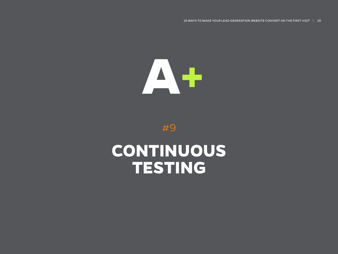10 WAYS TO MAKE YOUR LEAD GENERATION WEBSITE CONVERT ON THE FIRST VISIT | 20





### **CONTINUOUS TESTING**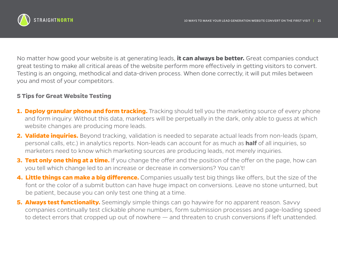

No matter how good your website is at generating leads, **it can always be better.** Great companies conduct great testing to make all critical areas of the website perform more effectively in getting visitors to convert. Testing is an ongoing, methodical and data-driven process. When done correctly, it will put miles between you and most of your competitors.

#### **5 Tips for Great Website Testing**

- **1. Deploy granular phone and form tracking.** Tracking should tell you the marketing source of every phone and form inquiry. Without this data, marketers will be perpetually in the dark, only able to guess at which website changes are producing more leads.
- **2. Validate inquiries.** Beyond tracking, validation is needed to separate actual leads from non-leads (spam, personal calls, etc.) in analytics reports. Non-leads can account for as much as **half** of all inquiries, so marketers need to know which marketing sources are producing leads, not merely inquiries.
- **3. Test only one thing at a time.** If you change the offer and the position of the offer on the page, how can you tell which change led to an increase or decrease in conversions? You can't!
- **4. Little things can make a big difference.** Companies usually test big things like offers, but the size of the font or the color of a submit button can have huge impact on conversions. Leave no stone unturned, but be patient, because you can only test one thing at a time.
- **5. Always test functionality.** Seemingly simple things can go haywire for no apparent reason. Savvy companies continually test clickable phone numbers, form submission processes and page-loading speed to detect errors that cropped up out of nowhere — and threaten to crush conversions if left unattended.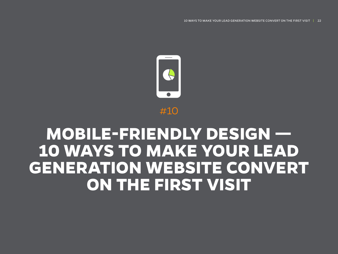### **MOBILE-FRIENDLY DESIGN — 10 WAYS TO MAKE YOUR LEAD GENERATION WEBSITE CONVERT ON THE FIRST VISIT**

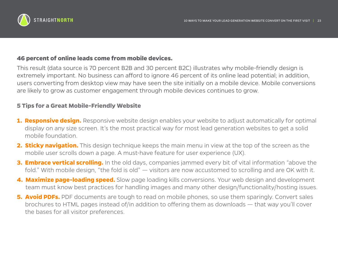

### **46 percent of online leads come from mobile devices.**

This result (data source is 70 percent B2B and 30 percent B2C) illustrates why mobile-friendly design is extremely important. No business can afford to ignore 46 percent of its online lead potential; in addition, users converting from desktop view may have seen the site initially on a mobile device. Mobile conversions are likely to grow as customer engagement through mobile devices continues to grow.

#### **5 Tips for a Great Mobile-Friendly Website**

- **1. Responsive design.** Responsive website design enables your website to adjust automatically for optimal display on any size screen. It's the most practical way for most lead generation websites to get a solid mobile foundation.
- **2. Sticky navigation.** This design technique keeps the main menu in view at the top of the screen as the mobile user scrolls down a page. A must-have feature for user experience (UX).
- **3. Embrace vertical scrolling.** In the old days, companies jammed every bit of vital information "above the fold." With mobile design, "the fold is old" — visitors are now accustomed to scrolling and are OK with it.
- **4. Maximize page-loading speed.** Slow page loading kills conversions. Your web design and development team must know best practices for handling images and many other design/functionality/hosting issues.
- **5. Avoid PDFs.** PDF documents are tough to read on mobile phones, so use them sparingly. Convert sales brochures to HTML pages instead of/in addition to offering them as downloads — that way you'll cover the bases for all visitor preferences.